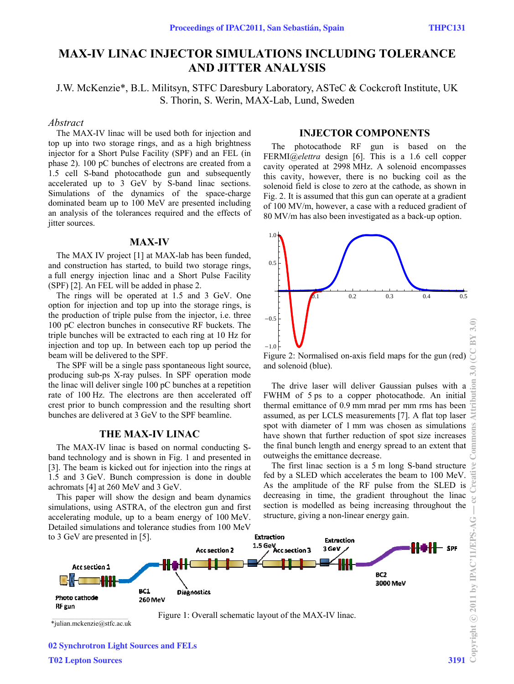# **MAX-IV LINAC INJECTOR SIMULATIONS INCLUDING TOLERANCE AND JITTER ANALYSIS**

J.W. McKenzie\*, B.L. Militsyn, STFC Daresbury Laboratory, ASTeC & Cockcroft Institute, UK S. Thorin, S. Werin, MAX-Lab, Lund, Sweden

#### *Abstract*

The MAX-IV linac will be used both for injection and top up into two storage rings, and as a high brightness injector for a Short Pulse Facility (SPF) and an FEL (in phase 2). 100 pC bunches of electrons are created from a 1.5 cell S-band photocathode gun and subsequently accelerated up to 3 GeV by S-band linac sections. Simulations of the dynamics of the space-charge dominated beam up to 100 MeV are presented including an analysis of the tolerances required and the effects of jitter sources.

## **M MAX-IV**

The MAX IV project [1] at MAX-lab has been funded, and construction has started, to build two storage rings, a full energy injection linac and a Short Pulse Facility (SPF) [2]. An FEL will be added in phase 2.

The rings will be operated at 1.5 and 3 GeV. One option for injection and top up into the storage rings, is the production of triple pulse from the injector, *i.e.* three 100 pC electron bunches in consecutive RF buckets. The triple bunches will be extracted to each ring at 10 Hz for injection and top up. In between each top up period the beam will be delivered to the SPF.

The SPF will be a single pass spontaneous light source, producing sub-ps X-ray pulses. In SPF operation mode the linac will deliver single 100 pC bunches at a repetition rate of 100 Hz. The electrons are then accelerated off crest prior to bunch compression and the resulting short bunches are d delivered at 3 GeV to the S SPF beamline.

## **THE MA AX-IV LINA AC**

The MAX-IV linac is based on normal conducting Sband technology and is shown in Fig. 1 and presented in [3]. The beam is kicked out for injection into the rings at 1.5 and 3 GeV. Bunch compression is done in double achromats [4] at 260 MeV and 3 GeV.

This paper will show the design and beam dynamics simulations, using ASTRA, of the electron gun and first accelerating module, up to a beam energy of 100 MeV. Detailed simulations and tolerance studies from 100 MeV

## **INJECTOR COMPONENTS**

The photocathode RF gun is based on the FERMI@elettra design [6]. This is a 1.6 cell copper cavit ty operated a at 2998 MHz. . A solenoid encompasses this cavity, however, there is no bucking coil as the solenoid field is close to zero at the cathode, as shown in Fig. 2. It is assumed that this gun can operate at a gradient of 100 MV/m, however, a case with a reduced gradient of 80 MV/m has also been investigated as a back-up option.



Figure 2: Normalised on-axis field maps for the gun (red) and solenoid (blue).

The drive laser will deliver Gaussian pulses with a FWHM of 5 ps to a copper photocathode. An initial thermal emittance of 0.9 mm mrad per mm rms has been assumed, as per LCLS measurements [7]. A flat top laser spot with diameter of 1 mm was chosen as simulations have shown that further reduction of spot size increases the final bunch length and energy spread to an extent that outweighs the emittance decrease.

Th fed b As t decreasing in time, the gradient throughout the linac section is modelled as being increasing throughout the structure, giving a non-linear energy gain. he first linac by a SLED w the amplitude section is a which accelera e of the RF 5 m long S-b ates the beam pulse from band structure to 100 MeV. the SLED is



\*julian.mckenzie@stfc.ac.uk

mmons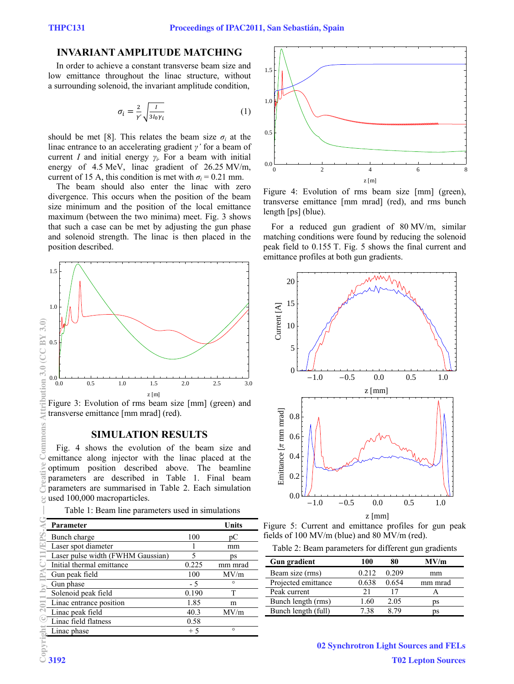## **INVARIANT AMPLITUDE MATCHING**

In order to achieve a constant transverse beam size and low emittance throughout the linac structure, without a surrounding solenoid, the invariant amplitude condition,

$$
\sigma_i = \frac{2}{r'} \sqrt{\frac{I}{3I_0 \gamma_i}}
$$
 (1)

should be met [8]. This relates the beam size  $\sigma_i$  at the linac entrance to an accelerating gradient *γ'* for a beam of current *I* and initial energy *γi.* For a beam with initial energy of 4.5 MeV, linac gradient of 26.25 MV/m, current of 15 A, this condition is met with  $\sigma_i = 0.21$  mm.

The beam should also enter the linac with zero divergence. This occurs when the position of the beam size minimum and the position of the local emittance maximum (between the two minima) meet. Fig. 3 shows that such a case can be met by adjusting the gun phase and solenoid strength. The linac is then placed in the position described.



Figure 3: Evolution of rms beam size [mm] (green) and transverse emittance [mm mrad] (red).

## **SIMULATION RESULTS**

Fig. 4 shows the evolution of the beam size and emittance along injector with the linac placed at the optimum position described above. The beamline parameters are described in Table 1. Final beam parameters are summarised in Table 2. Each simulation used 100,000 macroparticles.

Table 1: Beam line parameters used in simulations

| Parameter                         |       | <b>Units</b> |
|-----------------------------------|-------|--------------|
| Bunch charge                      | 100   | pC           |
| Laser spot diameter               |       | mm           |
| Laser pulse width (FWHM Gaussian) | 5     | ps           |
| Initial thermal emittance         | 0.225 | mm mrad      |
| Gun peak field                    | 100   | MV/m         |
| Gun phase                         | - 5   | $\circ$      |
| Solenoid peak field               | 0.190 | T            |
| Linac entrance position           | 1.85  | m            |
| Linac peak field                  | 40.3  | MV/m         |
| Linac field flatness              | 0.58  |              |
| Linac phase                       | $+5$  | $\circ$      |



Figure 4: Evolution of rms beam size [mm] (green), transverse emittance [mm mrad] (red), and rms bunch length [ps] (blue).

For a reduced gun gradient of 80 MV/m, similar matching conditions were found by reducing the solenoid peak field to 0.155 T. Fig. 5 shows the final current and emittance profiles at both gun gradients.



Figure 5: Current and emittance profiles for gun peak fields of 100 MV/m (blue) and 80 MV/m (red).

Table 2: Beam parameters for different gun gradients

| <b>Gun gradient</b> | 100   | 80    | MV/m    |  |
|---------------------|-------|-------|---------|--|
| Beam size (rms)     | 0.212 | 0.209 | mm      |  |
| Projected emittance | 0.638 | 0.654 | mm mrad |  |
| Peak current        | 21    |       |         |  |
| Bunch length (rms)  | 1 60  | 2.05  | ĎS      |  |
| Bunch length (full) | 7 38  |       | ĎS      |  |